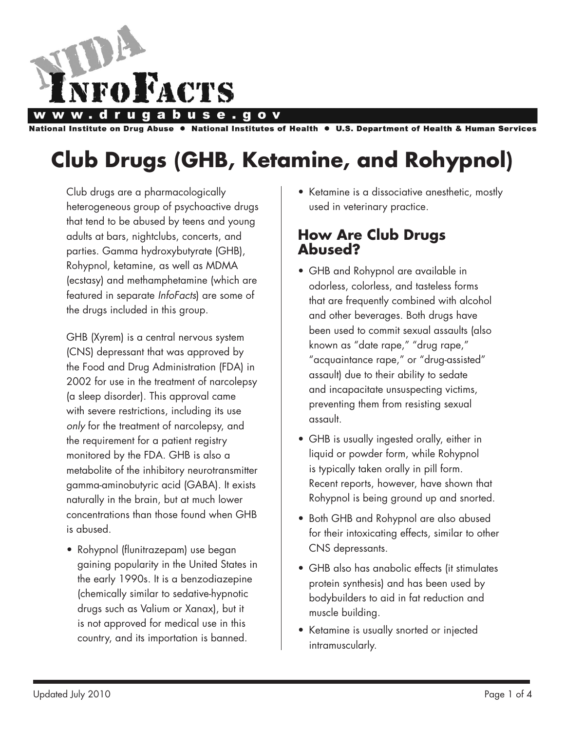

National Institute on Drug Abuse . National Institutes of Health ● U.S. Department of Health & Human Services

# **Club Drugs (GHB, Ketamine, and Rohypnol)**

Club drugs are a pharmacologically heterogeneous group of psychoactive drugs that tend to be abused by teens and young adults at bars, nightclubs, concerts, and parties. Gamma hydroxybutyrate (GHB), Rohypnol, ketamine, as well as MDMA (ecstasy) and methamphetamine (which are featured in separate *InfoFacts*) are some of the drugs included in this group.

GHB (Xyrem) is a central nervous system (CNS) depressant that was approved by the Food and Drug Administration (FDA) in 2002 for use in the treatment of narcolepsy (a sleep disorder). This approval came with severe restrictions, including its use *only* for the treatment of narcolepsy, and the requirement for a patient registry monitored by the FDA. GHB is also a metabolite of the inhibitory neurotransmitter gamma-aminobutyric acid (GABA). It exists naturally in the brain, but at much lower concentrations than those found when GHB is abused.

• Rohypnol (flunitrazepam) use began gaining popularity in the United States in the early 1990s. It is a benzodiazepine (chemically similar to sedative-hypnotic drugs such as Valium or Xanax), but it is not approved for medical use in this country, and its importation is banned.

• Ketamine is a dissociative anesthetic, mostly used in veterinary practice.

#### **How Are Club Drugs Abused?**

- GHB and Rohypnol are available in odorless, colorless, and tasteless forms that are frequently combined with alcohol and other beverages. Both drugs have been used to commit sexual assaults (also known as "date rape," "drug rape," "acquaintance rape," or "drug-assisted" assault) due to their ability to sedate and incapacitate unsuspecting victims, preventing them from resisting sexual assault.
- GHB is usually ingested orally, either in liquid or powder form, while Rohypnol is typically taken orally in pill form. Recent reports, however, have shown that Rohypnol is being ground up and snorted.
- Both GHB and Rohypnol are also abused for their intoxicating effects, similar to other CNS depressants.
- GHB also has anabolic effects (it stimulates protein synthesis) and has been used by bodybuilders to aid in fat reduction and muscle building.
- Ketamine is usually snorted or injected intramuscularly.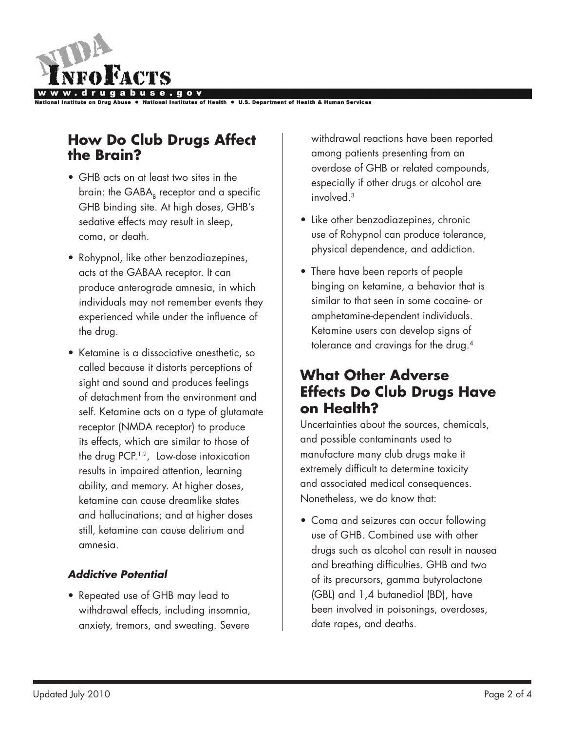

• National Institutes of Health • U.S. Department of Health & Human Services

# **How Do Club Drugs Affect the Brain?**

- GHB acts on at least two sites in the brain: the GABA $_{\textrm{\tiny{B}}}$  receptor and a specific GHB binding site. At high doses, GHB's sedative effects may result in sleep, coma, or death.
- Rohypnol, like other benzodiazepines, acts at the GABAA receptor. It can produce anterograde amnesia, in which individuals may not remember events they experienced while under the influence of the drug.
- Ketamine is a dissociative anesthetic, so called because it distorts perceptions of sight and sound and produces feelings of detachment from the environment and self. Ketamine acts on a type of glutamate receptor (NMDA receptor) to produce its effects, which are similar to those of the drug PCP.1,2, Low-dose intoxication results in impaired attention, learning ability, and memory. At higher doses, ketamine can cause dreamlike states and hallucinations; and at higher doses still, ketamine can cause delirium and amnesia.

#### *Addictive Potential*

• Repeated use of GHB may lead to withdrawal effects, including insomnia, anxiety, tremors, and sweating. Severe

withdrawal reactions have been reported among patients presenting from an overdose of GHB or related compounds, especially if other drugs or alcohol are involved.3

- Like other benzodiazepines, chronic use of Rohypnol can produce tolerance, physical dependence, and addiction.
- There have been reports of people binging on ketamine, a behavior that is similar to that seen in some cocaine- or amphetamine-dependent individuals. Ketamine users can develop signs of tolerance and cravings for the drug.4

## **What Other Adverse Effects Do Club Drugs Have on Health?**

Uncertainties about the sources, chemicals, and possible contaminants used to manufacture many club drugs make it extremely difficult to determine toxicity and associated medical consequences. Nonetheless, we do know that:

• Coma and seizures can occur following use of GHB. Combined use with other drugs such as alcohol can result in nausea and breathing difficulties. GHB and two of its precursors, gamma butyrolactone (GBL) and 1,4 butanediol (BD), have been involved in poisonings, overdoses, date rapes, and deaths.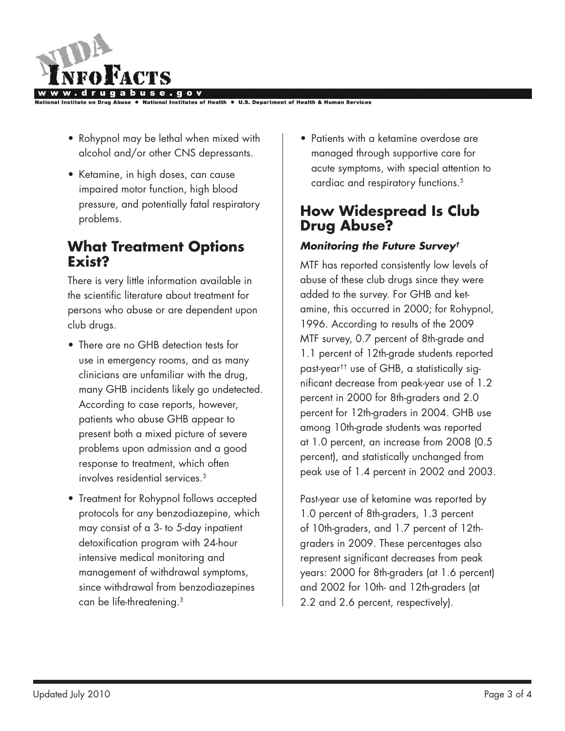

National Institutes of Health . U.S. Department of Health & Human Services

- Rohypnol may be lethal when mixed with alcohol and/or other CNS depressants.
- Ketamine, in high doses, can cause impaired motor function, high blood pressure, and potentially fatal respiratory problems.

#### **What Treatment Options Exist?**

There is very little information available in the scientific literature about treatment for persons who abuse or are dependent upon club drugs.

- There are no GHB detection tests for use in emergency rooms, and as many clinicians are unfamiliar with the drug, many GHB incidents likely go undetected. According to case reports, however, patients who abuse GHB appear to present both a mixed picture of severe problems upon admission and a good response to treatment, which often involves residential services.3
- Treatment for Rohypnol follows accepted protocols for any benzodiazepine, which may consist of a 3- to 5-day inpatient detoxification program with 24-hour intensive medical monitoring and management of withdrawal symptoms, since withdrawal from benzodiazepines can be life-threatening.3

• Patients with a ketamine overdose are managed through supportive care for acute symptoms, with special attention to cardiac and respiratory functions.<sup>5</sup>

## **How Widespread Is Club Drug Abuse?**

#### *Monitoring the Future Survey†*

MTF has reported consistently low levels of abuse of these club drugs since they were added to the survey. For GHB and ketamine, this occurred in 2000; for Rohypnol, 1996. According to results of the 2009 MTF survey, 0.7 percent of 8th-grade and 1.1 percent of 12th-grade students reported past-year†† use of GHB, a statistically significant decrease from peak-year use of 1.2 percent in 2000 for 8th-graders and 2.0 percent for 12th-graders in 2004. GHB use among 10th-grade students was reported at 1.0 percent, an increase from 2008 (0.5 percent), and statistically unchanged from peak use of 1.4 percent in 2002 and 2003.

Past-year use of ketamine was reported by 1.0 percent of 8th-graders, 1.3 percent of 10th-graders, and 1.7 percent of 12thgraders in 2009. These percentages also represent significant decreases from peak years: 2000 for 8th-graders (at 1.6 percent) and 2002 for 10th- and 12th-graders (at 2.2 and 2.6 percent, respectively).